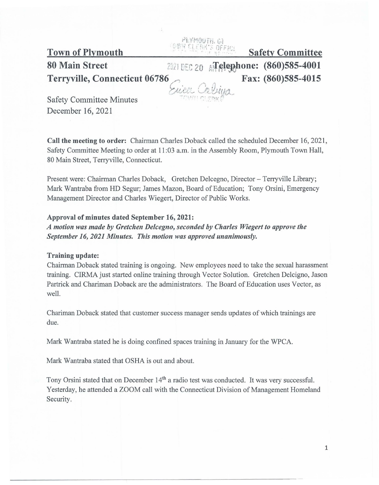PEYMOUTH. Town of Plymouth Safety Committee

80 Main Street **1994 Main Street 11 - 2021 DEC 20 All Algle**phone: (860)585-4001 Terryville, Connecticut 06786 Fax: (860)585-4015

Safety Committee Minutes December 16, 2021

Call the meeting to order: Chairman Charles Doback called the scheduled December 16, 2021, Safety Committee Meeting to order at 11 :03 a.m. in the Assembly Room, Plymouth Town Hall, 80 Main Street, Terryville, Connecticut.

.---)

~~~~~~~~~

Present were: Chairman Charles Doback, Gretchen Delcegno, Director - Terryville Library; Mark Wantraba from HD Segur; James Mazon, Board of Education; Tony Orsini, Emergency Management Director and Charles Wiegert, Director of Public Works.

## Approval of minutes dated September 16, 2021:

*A motion was made by Gretchen Delcegno, seconded by Charles Wiegert to approve the September 16, 2021 Minutes. This motion was approved unanimously.* 

### Training update:

Chairman Doback stated training is ongoing. New employees need to take the sexual harassment training. CIRMA just started online training through Vector Solution. Gretchen Delcigno, Jason Partrick and Chariman Doback are the administrators. The Board of Education uses Vector, as well.

Chariman Doback stated that customer success manager sends updates of which trainings are due.

Mark Wantraba stated he is doing confined spaces training in January for the WPCA.

Mark Wantraba stated that OSHA is out and about.

Tony Orsini stated that on December 14<sup>th</sup> a radio test was conducted. It was very successful. Yesterday, he attended a ZOOM call with the Connecticut Division of Management Homeland Security.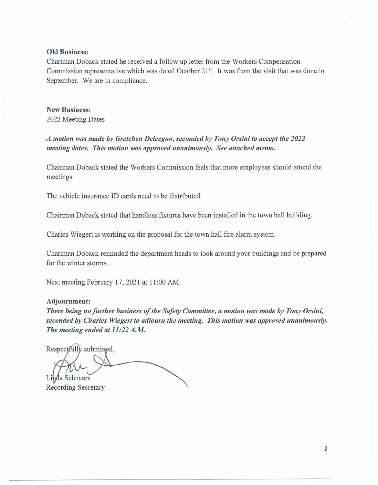#### **Old** Business:

Chariman Doback stated he received a follow up letter from the Workers Compensation Commission representative which was dated October 21<sup>st</sup>. It was from the visit that was done in September. We are in compliance.

New Business: 2022 Meeting Dates

*A motion was made by Gretchen Delcegno, seconded by Tony Orsini to accept the 2022 meeting dates. This motion was approved unanimously. See attached memo.* 

Chairman Doback stated the Workers Commission feels that more employees should attend the meetings.

The vehicle insurance ID cards need to be distributed.

Chairman Doback stated that handless fixtures have been installed in the town hall building.

Charles Wiegert is working on the proposal for the town hall fire alarm system.

Chariman Doback reminded the department heads to look around your buildings and be prepared for the winter storms.

Next meeting February 17, 2021 at 11:00 AM.

#### **Adjournment:**

*There being no further business of the Safety Committee, a motion was made by Tony Orsini, seconded by Charles Wiegert to adjourn the meeting. This motion was approved unanimously. The meeting ended at 11 :22 A.M.* 

Respectfully submitted, Linda Schnaars Recording Secretary